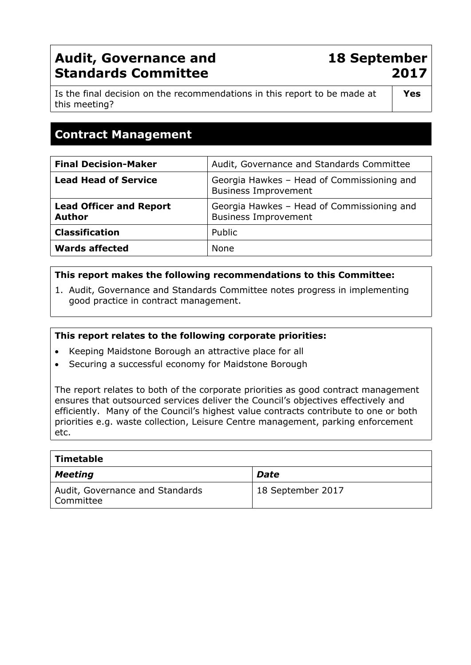# **Audit, Governance and Standards Committee**

**18 September 2017**

Is the final decision on the recommendations in this report to be made at this meeting?

**Yes**

# **Contract Management**

| <b>Final Decision-Maker</b>                     | Audit, Governance and Standards Committee                                 |
|-------------------------------------------------|---------------------------------------------------------------------------|
| <b>Lead Head of Service</b>                     | Georgia Hawkes - Head of Commissioning and<br><b>Business Improvement</b> |
| <b>Lead Officer and Report</b><br><b>Author</b> | Georgia Hawkes - Head of Commissioning and<br><b>Business Improvement</b> |
| <b>Classification</b>                           | Public                                                                    |
| <b>Wards affected</b>                           | <b>None</b>                                                               |

## **This report makes the following recommendations to this Committee:**

1. Audit, Governance and Standards Committee notes progress in implementing good practice in contract management.

#### **This report relates to the following corporate priorities:**

- Keeping Maidstone Borough an attractive place for all
- Securing a successful economy for Maidstone Borough

The report relates to both of the corporate priorities as good contract management ensures that outsourced services deliver the Council's objectives effectively and efficiently. Many of the Council's highest value contracts contribute to one or both priorities e.g. waste collection, Leisure Centre management, parking enforcement etc.

| Timetable                                    |                   |
|----------------------------------------------|-------------------|
| <b>Meeting</b>                               | <b>Date</b>       |
| Audit, Governance and Standards<br>Committee | 18 September 2017 |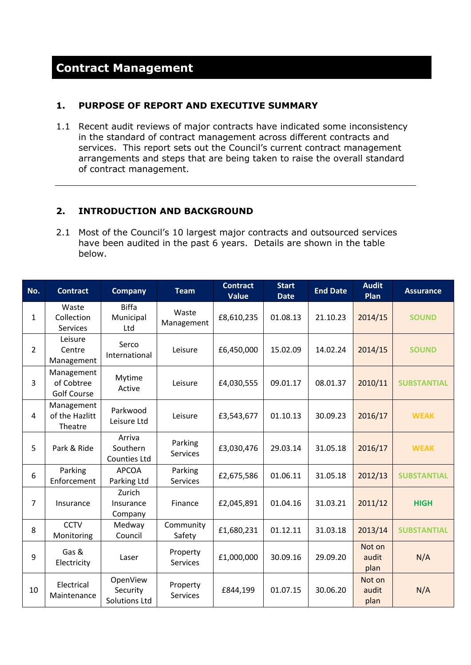#### **1. PURPOSE OF REPORT AND EXECUTIVE SUMMARY**

1.1 Recent audit reviews of major contracts have indicated some inconsistency in the standard of contract management across different contracts and services. This report sets out the Council's current contract management arrangements and steps that are being taken to raise the overall standard of contract management.

## **2. INTRODUCTION AND BACKGROUND**

2.1 Most of the Council's 10 largest major contracts and outsourced services have been audited in the past 6 years. Details are shown in the table below.

| No.            | <b>Contract</b>                                | <b>Company</b>                               | <b>Team</b>                 | <b>Contract</b><br><b>Value</b> | <b>Start</b><br><b>Date</b> | <b>End Date</b> | <b>Audit</b><br>Plan    | <b>Assurance</b>   |
|----------------|------------------------------------------------|----------------------------------------------|-----------------------------|---------------------------------|-----------------------------|-----------------|-------------------------|--------------------|
| $\mathbf{1}$   | Waste<br>Collection<br>Services                | <b>Biffa</b><br>Municipal<br>Ltd             | Waste<br>Management         | £8,610,235                      | 01.08.13                    | 21.10.23        | 2014/15                 | <b>SOUND</b>       |
| $\overline{2}$ | Leisure<br>Centre<br>Management                | Serco<br>International                       | Leisure                     | £6,450,000                      | 15.02.09                    | 14.02.24        | 2014/15                 | <b>SOUND</b>       |
| 3              | Management<br>of Cobtree<br><b>Golf Course</b> | Mytime<br>Active                             | Leisure                     | £4,030,555                      | 09.01.17                    | 08.01.37        | 2010/11                 | <b>SUBSTANTIAL</b> |
| 4              | Management<br>of the Hazlitt<br>Theatre        | Parkwood<br>Leisure Ltd                      | Leisure                     | £3,543,677                      | 01.10.13                    | 30.09.23        | 2016/17                 | <b>WEAK</b>        |
| 5              | Park & Ride                                    | Arriva<br>Southern<br><b>Counties Ltd</b>    | Parking<br><b>Services</b>  | £3,030,476                      | 29.03.14                    | 31.05.18        | 2016/17                 | <b>WEAK</b>        |
| 6              | Parking<br>Enforcement                         | <b>APCOA</b><br>Parking Ltd                  | Parking<br><b>Services</b>  | £2,675,586                      | 01.06.11                    | 31.05.18        | 2012/13                 | <b>SUBSTANTIAL</b> |
| $\overline{7}$ | Insurance                                      | Zurich<br>Insurance<br>Company               | Finance                     | £2,045,891                      | 01.04.16                    | 31.03.21        | 2011/12                 | <b>HIGH</b>        |
| 8              | <b>CCTV</b><br>Monitoring                      | Medway<br>Council                            | Community<br>Safety         | £1,680,231                      | 01.12.11                    | 31.03.18        | 2013/14                 | <b>SUBSTANTIAL</b> |
| 9              | Gas &<br>Electricity                           | Laser                                        | Property<br><b>Services</b> | £1,000,000                      | 30.09.16                    | 29.09.20        | Not on<br>audit<br>plan | N/A                |
| 10             | Electrical<br>Maintenance                      | OpenView<br>Security<br><b>Solutions Ltd</b> | Property<br><b>Services</b> | £844,199                        | 01.07.15                    | 30.06.20        | Not on<br>audit<br>plan | N/A                |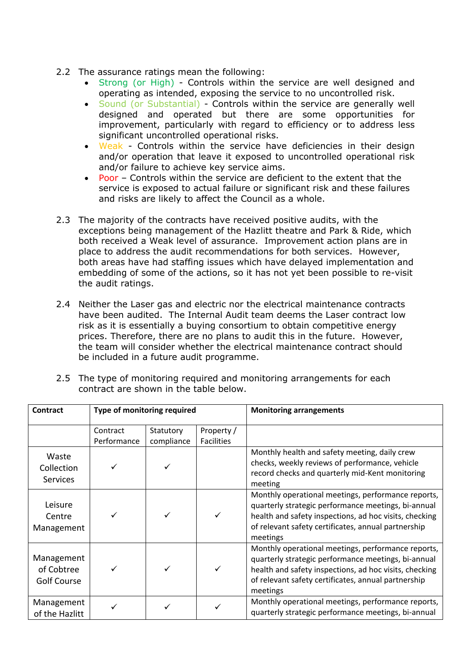- 2.2 The assurance ratings mean the following:
	- Strong (or High) Controls within the service are well designed and operating as intended, exposing the service to no uncontrolled risk.
	- Sound (or Substantial) Controls within the service are generally well designed and operated but there are some opportunities for improvement, particularly with regard to efficiency or to address less significant uncontrolled operational risks.
	- Weak Controls within the service have deficiencies in their design and/or operation that leave it exposed to uncontrolled operational risk and/or failure to achieve key service aims.
	- Poor Controls within the service are deficient to the extent that the service is exposed to actual failure or significant risk and these failures and risks are likely to affect the Council as a whole.
- 2.3 The majority of the contracts have received positive audits, with the exceptions being management of the Hazlitt theatre and Park & Ride, which both received a Weak level of assurance. Improvement action plans are in place to address the audit recommendations for both services. However, both areas have had staffing issues which have delayed implementation and embedding of some of the actions, so it has not yet been possible to re-visit the audit ratings.
- 2.4 Neither the Laser gas and electric nor the electrical maintenance contracts have been audited. The Internal Audit team deems the Laser contract low risk as it is essentially a buying consortium to obtain competitive energy prices. Therefore, there are no plans to audit this in the future. However, the team will consider whether the electrical maintenance contract should be included in a future audit programme.

| <b>Contract</b>                                | Type of monitoring required |                         |                                 | <b>Monitoring arrangements</b>                                                                                                                                                                                                         |
|------------------------------------------------|-----------------------------|-------------------------|---------------------------------|----------------------------------------------------------------------------------------------------------------------------------------------------------------------------------------------------------------------------------------|
|                                                | Contract<br>Performance     | Statutory<br>compliance | Property /<br><b>Facilities</b> |                                                                                                                                                                                                                                        |
| Waste<br>Collection<br><b>Services</b>         |                             |                         |                                 | Monthly health and safety meeting, daily crew<br>checks, weekly reviews of performance, vehicle<br>record checks and quarterly mid-Kent monitoring<br>meeting                                                                          |
| Leisure<br>Centre<br>Management                |                             |                         |                                 | Monthly operational meetings, performance reports,<br>quarterly strategic performance meetings, bi-annual<br>health and safety inspections, ad hoc visits, checking<br>of relevant safety certificates, annual partnership<br>meetings |
| Management<br>of Cobtree<br><b>Golf Course</b> |                             |                         |                                 | Monthly operational meetings, performance reports,<br>quarterly strategic performance meetings, bi-annual<br>health and safety inspections, ad hoc visits, checking<br>of relevant safety certificates, annual partnership<br>meetings |
| Management<br>of the Hazlitt                   |                             |                         |                                 | Monthly operational meetings, performance reports,<br>quarterly strategic performance meetings, bi-annual                                                                                                                              |

2.5 The type of monitoring required and monitoring arrangements for each contract are shown in the table below.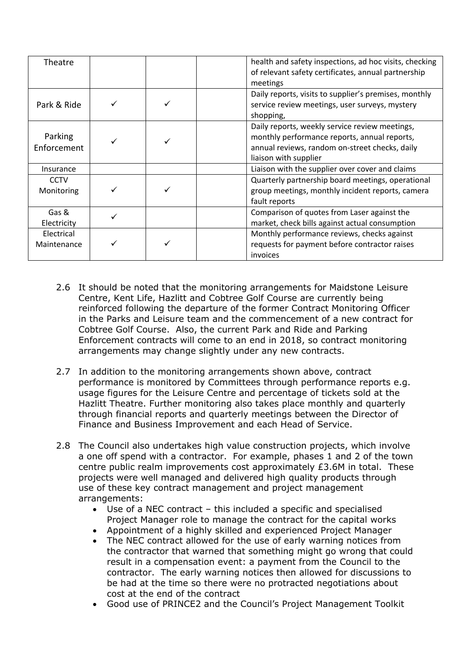| Theatre                   |  | health and safety inspections, ad hoc visits, checking<br>of relevant safety certificates, annual partnership<br>meetings                                                 |
|---------------------------|--|---------------------------------------------------------------------------------------------------------------------------------------------------------------------------|
| Park & Ride               |  | Daily reports, visits to supplier's premises, monthly<br>service review meetings, user surveys, mystery<br>shopping,                                                      |
| Parking<br>Enforcement    |  | Daily reports, weekly service review meetings,<br>monthly performance reports, annual reports,<br>annual reviews, random on-street checks, daily<br>liaison with supplier |
| Insurance                 |  | Liaison with the supplier over cover and claims                                                                                                                           |
| <b>CCTV</b><br>Monitoring |  | Quarterly partnership board meetings, operational<br>group meetings, monthly incident reports, camera<br>fault reports                                                    |
| Gas &<br>Electricity      |  | Comparison of quotes from Laser against the<br>market, check bills against actual consumption                                                                             |
| Electrical<br>Maintenance |  | Monthly performance reviews, checks against<br>requests for payment before contractor raises<br>invoices                                                                  |

- 2.6 It should be noted that the monitoring arrangements for Maidstone Leisure Centre, Kent Life, Hazlitt and Cobtree Golf Course are currently being reinforced following the departure of the former Contract Monitoring Officer in the Parks and Leisure team and the commencement of a new contract for Cobtree Golf Course. Also, the current Park and Ride and Parking Enforcement contracts will come to an end in 2018, so contract monitoring arrangements may change slightly under any new contracts.
- 2.7 In addition to the monitoring arrangements shown above, contract performance is monitored by Committees through performance reports e.g. usage figures for the Leisure Centre and percentage of tickets sold at the Hazlitt Theatre. Further monitoring also takes place monthly and quarterly through financial reports and quarterly meetings between the Director of Finance and Business Improvement and each Head of Service.
- 2.8 The Council also undertakes high value construction projects, which involve a one off spend with a contractor. For example, phases 1 and 2 of the town centre public realm improvements cost approximately £3.6M in total. These projects were well managed and delivered high quality products through use of these key contract management and project management arrangements:
	- Use of a NEC contract this included a specific and specialised Project Manager role to manage the contract for the capital works
	- Appointment of a highly skilled and experienced Project Manager
	- The NEC contract allowed for the use of early warning notices from the contractor that warned that something might go wrong that could result in a compensation event: a payment from the Council to the contractor. The early warning notices then allowed for discussions to be had at the time so there were no protracted negotiations about cost at the end of the contract
	- Good use of PRINCE2 and the Council's Project Management Toolkit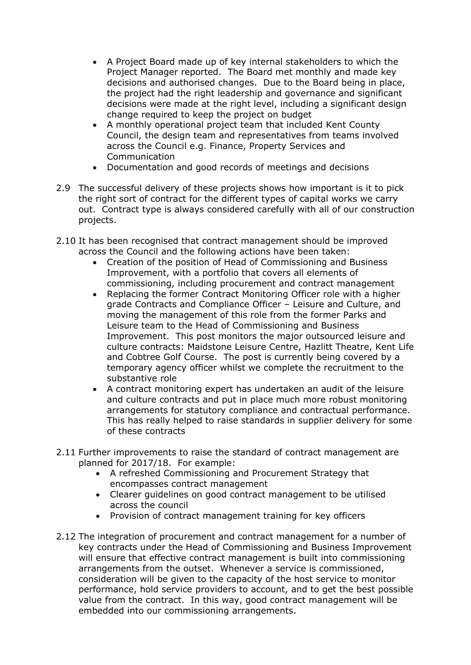- A Project Board made up of key internal stakeholders to which the Project Manager reported. The Board met monthly and made key decisions and authorised changes. Due to the Board being in place, the project had the right leadership and governance and significant decisions were made at the right level, including a significant design change required to keep the project on budget
- A monthly operational project team that included Kent County Council, the design team and representatives from teams involved across the Council e.g. Finance, Property Services and Communication
- Documentation and good records of meetings and decisions
- 2.9 The successful delivery of these projects shows how important is it to pick the right sort of contract for the different types of capital works we carry out. Contract type is always considered carefully with all of our construction projects.
- 2.10 It has been recognised that contract management should be improved across the Council and the following actions have been taken:
	- Creation of the position of Head of Commissioning and Business Improvement, with a portfolio that covers all elements of commissioning, including procurement and contract management
	- Replacing the former Contract Monitoring Officer role with a higher grade Contracts and Compliance Officer – Leisure and Culture, and moving the management of this role from the former Parks and Leisure team to the Head of Commissioning and Business Improvement. This post monitors the major outsourced leisure and culture contracts: Maidstone Leisure Centre, Hazlitt Theatre, Kent Life and Cobtree Golf Course. The post is currently being covered by a temporary agency officer whilst we complete the recruitment to the substantive role
	- A contract monitoring expert has undertaken an audit of the leisure and culture contracts and put in place much more robust monitoring arrangements for statutory compliance and contractual performance. This has really helped to raise standards in supplier delivery for some of these contracts
- 2.11 Further improvements to raise the standard of contract management are planned for 2017/18. For example:
	- A refreshed Commissioning and Procurement Strategy that encompasses contract management
	- Clearer guidelines on good contract management to be utilised across the council
	- Provision of contract management training for key officers
- 2.12 The integration of procurement and contract management for a number of key contracts under the Head of Commissioning and Business Improvement will ensure that effective contract management is built into commissioning arrangements from the outset. Whenever a service is commissioned, consideration will be given to the capacity of the host service to monitor performance, hold service providers to account, and to get the best possible value from the contract. In this way, good contract management will be embedded into our commissioning arrangements.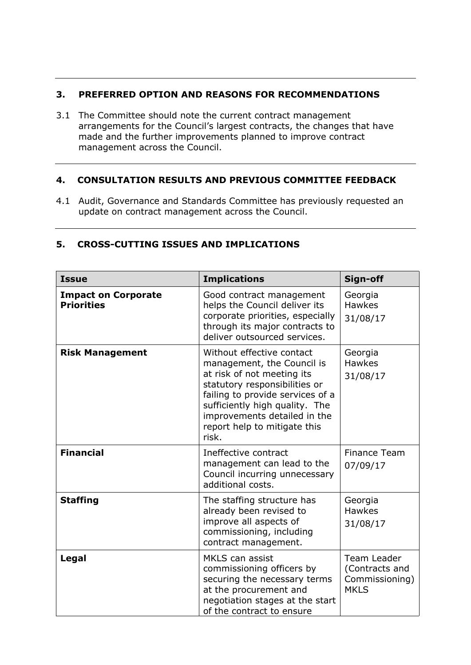## **3. PREFERRED OPTION AND REASONS FOR RECOMMENDATIONS**

3.1 The Committee should note the current contract management arrangements for the Council's largest contracts, the changes that have made and the further improvements planned to improve contract management across the Council.

#### **4. CONSULTATION RESULTS AND PREVIOUS COMMITTEE FEEDBACK**

4.1 Audit, Governance and Standards Committee has previously requested an update on contract management across the Council.

| <b>Issue</b>                                    | <b>Implications</b>                                                                                                                                                                                                                                                   | Sign-off                                                              |
|-------------------------------------------------|-----------------------------------------------------------------------------------------------------------------------------------------------------------------------------------------------------------------------------------------------------------------------|-----------------------------------------------------------------------|
| <b>Impact on Corporate</b><br><b>Priorities</b> | Good contract management<br>helps the Council deliver its<br>corporate priorities, especially<br>through its major contracts to<br>deliver outsourced services.                                                                                                       | Georgia<br><b>Hawkes</b><br>31/08/17                                  |
| <b>Risk Management</b>                          | Without effective contact<br>management, the Council is<br>at risk of not meeting its<br>statutory responsibilities or<br>failing to provide services of a<br>sufficiently high quality. The<br>improvements detailed in the<br>report help to mitigate this<br>risk. | Georgia<br><b>Hawkes</b><br>31/08/17                                  |
| <b>Financial</b>                                | Ineffective contract<br>management can lead to the<br>Council incurring unnecessary<br>additional costs.                                                                                                                                                              | <b>Finance Team</b><br>07/09/17                                       |
| <b>Staffing</b>                                 | The staffing structure has<br>already been revised to<br>improve all aspects of<br>commissioning, including<br>contract management.                                                                                                                                   | Georgia<br><b>Hawkes</b><br>31/08/17                                  |
| Legal                                           | MKLS can assist<br>commissioning officers by<br>securing the necessary terms<br>at the procurement and<br>negotiation stages at the start<br>of the contract to ensure                                                                                                | <b>Team Leader</b><br>(Contracts and<br>Commissioning)<br><b>MKLS</b> |

## **5. CROSS-CUTTING ISSUES AND IMPLICATIONS**